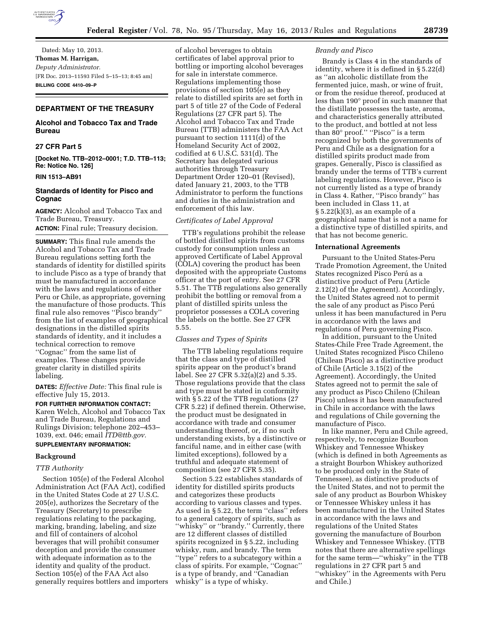

Dated: May 10, 2013. **Thomas M. Harrigan,**  *Deputy Administrator.*  [FR Doc. 2013–11593 Filed 5–15–13; 8:45 am] **BILLING CODE 4410–09–P** 

# **DEPARTMENT OF THE TREASURY**

# **Alcohol and Tobacco Tax and Trade Bureau**

# **27 CFR Part 5**

**[Docket No. TTB–2012–0001; T.D. TTB–113; Re: Notice No. 126]** 

## **RIN 1513–AB91**

## **Standards of Identity for Pisco and Cognac**

**AGENCY:** Alcohol and Tobacco Tax and Trade Bureau, Treasury. **ACTION:** Final rule; Treasury decision.

**SUMMARY:** This final rule amends the Alcohol and Tobacco Tax and Trade Bureau regulations setting forth the standards of identity for distilled spirits to include Pisco as a type of brandy that must be manufactured in accordance with the laws and regulations of either Peru or Chile, as appropriate, governing the manufacture of those products. This final rule also removes ''Pisco brandy'' from the list of examples of geographical designations in the distilled spirits standards of identity, and it includes a technical correction to remove ''Cognac'' from the same list of examples. These changes provide greater clarity in distilled spirits labeling.

**DATES:** *Effective Date:* This final rule is effective July 15, 2013.

**FOR FURTHER INFORMATION CONTACT:**  Karen Welch, Alcohol and Tobacco Tax and Trade Bureau, Regulations and Rulings Division; telephone 202–453– 1039, ext. 046; email *[ITD@ttb.gov.](mailto:ITD@ttb.gov)* 

## **SUPPLEMENTARY INFORMATION:**

## **Background**

### *TTB Authority*

Section 105(e) of the Federal Alcohol Administration Act (FAA Act), codified in the United States Code at 27 U.S.C. 205(e), authorizes the Secretary of the Treasury (Secretary) to prescribe regulations relating to the packaging, marking, branding, labeling, and size and fill of containers of alcohol beverages that will prohibit consumer deception and provide the consumer with adequate information as to the identity and quality of the product. Section 105(e) of the FAA Act also generally requires bottlers and importers

of alcohol beverages to obtain certificates of label approval prior to bottling or importing alcohol beverages for sale in interstate commerce. Regulations implementing those provisions of section 105(e) as they relate to distilled spirits are set forth in part 5 of title 27 of the Code of Federal Regulations (27 CFR part 5). The Alcohol and Tobacco Tax and Trade Bureau (TTB) administers the FAA Act pursuant to section 1111(d) of the Homeland Security Act of 2002, codified at 6 U.S.C. 531(d). The Secretary has delegated various authorities through Treasury Department Order 120–01 (Revised), dated January 21, 2003, to the TTB Administrator to perform the functions and duties in the administration and enforcement of this law.

### *Certificates of Label Approval*

TTB's regulations prohibit the release of bottled distilled spirits from customs custody for consumption unless an approved Certificate of Label Approval (COLA) covering the product has been deposited with the appropriate Customs officer at the port of entry. See 27 CFR 5.51. The TTB regulations also generally prohibit the bottling or removal from a plant of distilled spirits unless the proprietor possesses a COLA covering the labels on the bottle. See 27 CFR 5.55.

#### *Classes and Types of Spirits*

The TTB labeling regulations require that the class and type of distilled spirits appear on the product's brand label. See 27 CFR 5.32(a)(2) and 5.35. Those regulations provide that the class and type must be stated in conformity with § 5.22 of the TTB regulations (27 CFR 5.22) if defined therein. Otherwise, the product must be designated in accordance with trade and consumer understanding thereof, or, if no such understanding exists, by a distinctive or fanciful name, and in either case (with limited exceptions), followed by a truthful and adequate statement of composition (see 27 CFR 5.35).

Section 5.22 establishes standards of identity for distilled spirits products and categorizes these products according to various classes and types. As used in § 5.22, the term ''class'' refers to a general category of spirits, such as ''whisky'' or ''brandy.'' Currently, there are 12 different classes of distilled spirits recognized in § 5.22, including whisky, rum, and brandy. The term ''type'' refers to a subcategory within a class of spirits. For example, ''Cognac'' is a type of brandy, and ''Canadian whisky'' is a type of whisky.

### *Brandy and Pisco*

Brandy is Class 4 in the standards of identity, where it is defined in § 5.22(d) as ''an alcoholic distillate from the fermented juice, mash, or wine of fruit, or from the residue thereof, produced at less than 190° proof in such manner that the distillate possesses the taste, aroma, and characteristics generally attributed to the product, and bottled at not less than 80° proof." "Pisco" is a term recognized by both the governments of Peru and Chile as a designation for a distilled spirits product made from grapes. Generally, Pisco is classified as brandy under the terms of TTB's current labeling regulations. However, Pisco is not currently listed as a type of brandy in Class 4. Rather, ''Pisco brandy'' has been included in Class 11, at  $\S 5.22(k)(3)$ , as an example of a geographical name that is not a name for a distinctive type of distilled spirits, and that has not become generic.

#### **International Agreements**

Pursuant to the United States-Peru Trade Promotion Agreement, the United States recognized Pisco Perú as a distinctive product of Peru (Article 2.12(2) of the Agreement). Accordingly, the United States agreed not to permit the sale of any product as Pisco Perú unless it has been manufactured in Peru in accordance with the laws and regulations of Peru governing Pisco.

In addition, pursuant to the United States-Chile Free Trade Agreement, the United States recognized Pisco Chileno (Chilean Pisco) as a distinctive product of Chile (Article 3.15(2) of the Agreement). Accordingly, the United States agreed not to permit the sale of any product as Pisco Chileno (Chilean Pisco) unless it has been manufactured in Chile in accordance with the laws and regulations of Chile governing the manufacture of Pisco.

In like manner, Peru and Chile agreed, respectively, to recognize Bourbon Whiskey and Tennessee Whiskey (which is defined in both Agreements as a straight Bourbon Whiskey authorized to be produced only in the State of Tennessee), as distinctive products of the United States, and not to permit the sale of any product as Bourbon Whiskey or Tennessee Whiskey unless it has been manufactured in the United States in accordance with the laws and regulations of the United States governing the manufacture of Bourbon Whiskey and Tennessee Whiskey. (TTB notes that there are alternative spellings for the same term—''whisky'' in the TTB regulations in 27 CFR part 5 and ''whiskey'' in the Agreements with Peru and Chile.)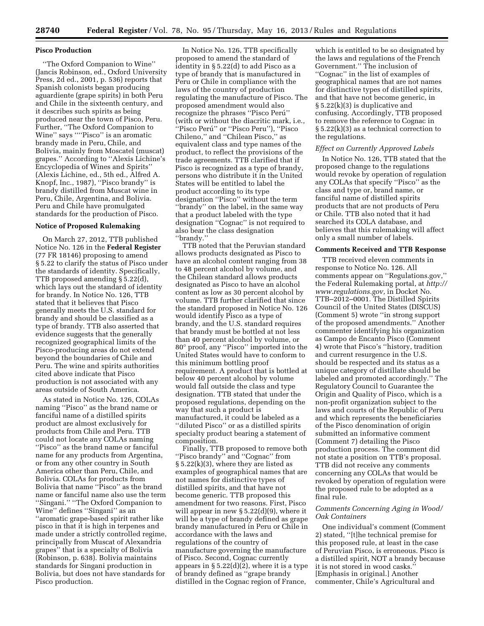### **Pisco Production**

''The Oxford Companion to Wine'' (Jancis Robinson, ed., Oxford University Press, 2d ed., 2001, p. 536) reports that Spanish colonists began producing aguardiente (grape spirits) in both Peru and Chile in the sixteenth century, and it describes such spirits as being produced near the town of Pisco, Peru. Further, ''The Oxford Companion to Wine'' says ''''Pisco'' is an aromatic brandy made in Peru, Chile, and Bolivia, mainly from Moscatel (muscat) grapes.'' According to ''Alexis Lichine's Encyclopedia of Wines and Spirits'' (Alexis Lichine, ed., 5th ed., Alfred A. Knopf, Inc., 1987), ''Pisco brandy'' is brandy distilled from Muscat wine in Peru, Chile, Argentina, and Bolivia. Peru and Chile have promulgated standards for the production of Pisco.

### **Notice of Proposed Rulemaking**

On March 27, 2012, TTB published Notice No. 126 in the **Federal Register**  (77 FR 18146) proposing to amend § 5.22 to clarify the status of Pisco under the standards of identity. Specifically, TTB proposed amending § 5.22(d), which lays out the standard of identity for brandy. In Notice No. 126, TTB stated that it believes that Pisco generally meets the U.S. standard for brandy and should be classified as a type of brandy. TTB also asserted that evidence suggests that the generally recognized geographical limits of the Pisco-producing areas do not extend beyond the boundaries of Chile and Peru. The wine and spirits authorities cited above indicate that Pisco production is not associated with any areas outside of South America.

As stated in Notice No. 126, COLAs naming ''Pisco'' as the brand name or fanciful name of a distilled spirits product are almost exclusively for products from Chile and Peru. TTB could not locate any COLAs naming ''Pisco'' as the brand name or fanciful name for any products from Argentina, or from any other country in South America other than Peru, Chile, and Bolivia. COLAs for products from Bolivia that name ''Pisco'' as the brand name or fanciful name also use the term ''Singani.'' ''The Oxford Companion to Wine'' defines ''Singani'' as an ''aromatic grape-based spirit rather like pisco in that it is high in terpenes and made under a strictly controlled regime, principally from Muscat of Alexandria grapes'' that is a specialty of Bolivia (Robinson, p. 638). Bolivia maintains standards for Singani production in Bolivia, but does not have standards for Pisco production.

In Notice No. 126, TTB specifically proposed to amend the standard of identity in § 5.22(d) to add Pisco as a type of brandy that is manufactured in Peru or Chile in compliance with the laws of the country of production regulating the manufacture of Pisco. The proposed amendment would also recognize the phrases "Pisco Perú" (with or without the diacritic mark, i.e., ''Pisco Peru´'' or ''Pisco Peru''), ''Pisco Chileno,'' and ''Chilean Pisco,'' as equivalent class and type names of the product, to reflect the provisions of the trade agreements. TTB clarified that if Pisco is recognized as a type of brandy, persons who distribute it in the United States will be entitled to label the product according to its type designation ''Pisco'' without the term ''brandy'' on the label, in the same way that a product labeled with the type designation ''Cognac'' is not required to also bear the class designation ''brandy.''

TTB noted that the Peruvian standard allows products designated as Pisco to have an alcohol content ranging from 38 to 48 percent alcohol by volume, and the Chilean standard allows products designated as Pisco to have an alcohol content as low as 30 percent alcohol by volume. TTB further clarified that since the standard proposed in Notice No. 126 would identify Pisco as a type of brandy, and the U.S. standard requires that brandy must be bottled at not less than 40 percent alcohol by volume, or 80° proof, any ''Pisco'' imported into the United States would have to conform to this minimum bottling proof requirement. A product that is bottled at below 40 percent alcohol by volume would fall outside the class and type designation. TTB stated that under the proposed regulations, depending on the way that such a product is manufactured, it could be labeled as a ''diluted Pisco'' or as a distilled spirits specialty product bearing a statement of composition.

Finally, TTB proposed to remove both ''Pisco brandy'' and ''Cognac'' from § 5.22(k)(3), where they are listed as examples of geographical names that are not names for distinctive types of distilled spirits, and that have not become generic. TTB proposed this amendment for two reasons. First, Pisco will appear in new § 5.22(d)(9), where it will be a type of brandy defined as grape brandy manufactured in Peru or Chile in accordance with the laws and regulations of the country of manufacture governing the manufacture of Pisco. Second, Cognac currently appears in  $\S 5.22(d)(2)$ , where it is a type of brandy defined as ''grape brandy distilled in the Cognac region of France,

which is entitled to be so designated by the laws and regulations of the French Government.'' The inclusion of ''Cognac'' in the list of examples of geographical names that are not names for distinctive types of distilled spirits, and that have not become generic, in § 5.22(k)(3) is duplicative and confusing. Accordingly, TTB proposed to remove the reference to Cognac in § 5.22(k)(3) as a technical correction to the regulations.

### *Effect on Currently Approved Labels*

In Notice No. 126, TTB stated that the proposed change to the regulations would revoke by operation of regulation any COLAs that specify ''Pisco'' as the class and type or, brand name, or fanciful name of distilled spirits products that are not products of Peru or Chile. TTB also noted that it had searched its COLA database, and believes that this rulemaking will affect only a small number of labels.

#### **Comments Received and TTB Response**

TTB received eleven comments in response to Notice No. 126. All comments appear on ''Regulations.gov,'' the Federal Rulemaking portal, at *[http://](http://www.regulations.gov)  [www.regulations.gov,](http://www.regulations.gov)* in Docket No. TTB–2012–0001. The Distilled Spirits Council of the United States (DISCUS) (Comment 5) wrote ''in strong support of the proposed amendments.'' Another commenter identifying his organization as Campo de Encanto Pisco (Comment 4) wrote that Pisco's ''history, tradition and current resurgence in the U.S. should be respected and its status as a unique category of distillate should be labeled and promoted accordingly.'' The Regulatory Council to Guarantee the Origin and Quality of Pisco, which is a non-profit organization subject to the laws and courts of the Republic of Peru and which represents the beneficiaries of the Pisco denomination of origin submitted an informative comment (Comment 7) detailing the Pisco production process. The comment did not state a position on TTB's proposal. TTB did not receive any comments concerning any COLAs that would be revoked by operation of regulation were the proposed rule to be adopted as a final rule.

## *Comments Concerning Aging in Wood/ Oak Containers*

One individual's comment (Comment 2) stated, ''[t]he technical premise for this proposed rule, at least in the case of Peruvian Pisco, is erroneous. Pisco is a distilled spirit, NOT a brandy because it is not stored in wood casks.'' [Emphasis in original.] Another commenter, Chile's Agricultural and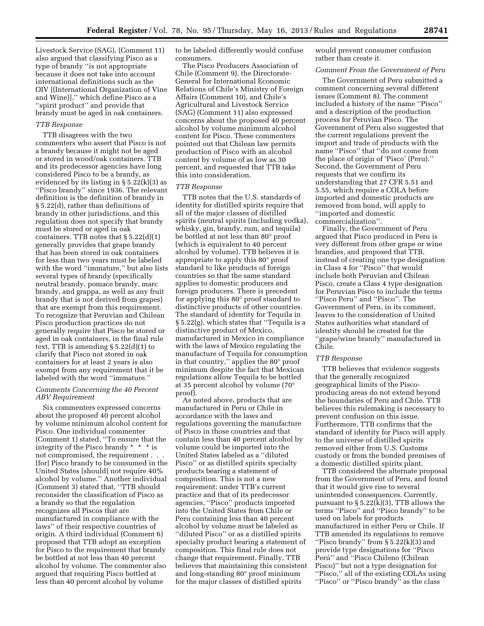Livestock Service (SAG), (Comment 11) also argued that classifying Pisco as a type of brandy ''is not appropriate because it does not take into account international definitions such as the OIV [(International Organization of Vine and Wine)],'' which define Pisco as a ''spirit product'' and provide that brandy must be aged in oak containers.

## *TTB Response*

TTB disagrees with the two commenters who assert that Pisco is not a brandy because it might not be aged or stored in wood/oak containers. TTB and its predecessor agencies have long considered Pisco to be a brandy, as evidenced by its listing in § 5.22(k)(3) as ''Pisco brandy'' since 1936. The relevant definition is the definition of brandy in § 5.22(d), rather than definitions of brandy in other jurisdictions, and this regulation does not specify that brandy must be stored or aged in oak containers. TTB notes that  $\S 5.22(d)(1)$ generally provides that grape brandy that has been stored in oak containers for less than two years must be labeled with the word "immature," but also lists several types of brandy (specifically neutral brandy, pomace brandy, marc brandy, and grappa, as well as any fruit brandy that is not derived from grapes) that are exempt from this requirement. To recognize that Peruvian and Chilean Pisco production practices do not generally require that Pisco be stored or aged in oak containers, in the final rule text, TTB is amending  $\S 5.22(d)(1)$  to clarify that Pisco not stored in oak containers for at least 2 years is also exempt from any requirement that it be labeled with the word ''immature.''

### *Comments Concerning the 40 Percent ABV Requirement*

Six commenters expressed concerns about the proposed 40 percent alcohol by volume minimum alcohol content for Pisco. One individual commenter (Comment 1) stated, ''To ensure that the integrity of the Pisco brandy \* \* \* is not compromised, the requirement . . . [for] Pisco brandy to be consumed in the United States [should] not require 40% alcohol by volume.'' Another individual (Comment 3) stated that, ''TTB should reconsider the classification of Pisco as a brandy so that the regulation recognizes all Piscos that are manufactured in compliance with the laws'' of their respective countries of origin. A third individual (Comment 6) proposed that TTB adopt an exception for Pisco to the requirement that brandy be bottled at not less than 40 percent alcohol by volume. The commenter also argued that requiring Pisco bottled at less than 40 percent alcohol by volume

to be labeled differently would confuse consumers.

The Pisco Producers Association of Chile (Comment 9), the Directorate-General for International Economic Relations of Chile's Ministry of Foreign Affairs (Comment 10), and Chile's Agricultural and Livestock Service (SAG) (Comment 11) also expressed concerns about the proposed 40 percent alcohol by volume minimum alcohol content for Pisco. These commenters pointed out that Chilean law permits production of Pisco with an alcohol content by volume of as low as 30 percent, and requested that TTB take this into consideration.

#### *TTB Response*

TTB notes that the U.S. standards of identity for distilled spirits require that all of the major classes of distilled spirits (neutral spirits (including vodka), whisky, gin, brandy, rum, and tequila) be bottled at not less than 80° proof (which is equivalent to 40 percent alcohol by volume). TTB believes it is appropriate to apply this 80° proof standard to like products of foreign countries so that the same standard applies to domestic producers and foreign producers. There is precedent for applying this 80° proof standard to distinctive products of other countries. The standard of identity for Tequila in § 5.22(g), which states that ''Tequila is a distinctive product of Mexico, manufactured in Mexico in compliance with the laws of Mexico regulating the manufacture of Tequila for consumption in that country,'' applies the 80° proof minimum despite the fact that Mexican regulations allow Tequila to be bottled at 35 percent alcohol by volume (70° proof).

As noted above, products that are manufactured in Peru or Chile in accordance with the laws and regulations governing the manufacture of Pisco in those countries and that contain less than 40 percent alcohol by volume could be imported into the United States labeled as a ''diluted Pisco'' or as distilled spirits specialty products bearing a statement of composition. This is not a new requirement; under TTB's current practice and that of its predecessor agencies, ''Pisco'' products imported into the United States from Chile or Peru containing less than 40 percent alcohol by volume must be labeled as ''diluted Pisco'' or as a distilled spirits specialty product bearing a statement of composition. This final rule does not change that requirement. Finally, TTB believes that maintaining this consistent and long-standing 80° proof minimum for the major classes of distilled spirits

would prevent consumer confusion rather than create it.

#### *Comment From the Government of Peru*

The Government of Peru submitted a comment concerning several different issues (Comment 8). The comment included a history of the name ''Pisco'' and a description of the production process for Peruvian Pisco. The Government of Peru also suggested that the current regulations prevent the import and trade of products with the name ''Pisco'' that ''do not come from the place of origin of 'Pisco' (Peru).'' Second, the Government of Peru requests that we confirm its understanding that 27 CFR 5.51 and 5.55, which require a COLA before imported and domestic products are removed from bond, will apply to ''imported and domestic commercialization''.

Finally, the Government of Peru argued that Pisco produced in Peru is very different from other grape or wine brandies, and proposed that TTB, instead of creating one type designation in Class 4 for ''Pisco'' that would include both Peruvian and Chilean Pisco, create a Class 4 type designation for Peruvian Pisco to include the terms ''Pisco Peru'' and ''Pisco''. The Government of Peru, in its comment, leaves to the consideration of United States authorities what standard of identity should be created for the ''grape/wine brandy'' manufactured in Chile.

### *TTB Response*

TTB believes that evidence suggests that the generally recognized geographical limits of the Piscoproducing areas do not extend beyond the boundaries of Peru and Chile. TTB believes this rulemaking is necessary to prevent confusion on this issue. Furthermore, TTB confirms that the standard of identity for Pisco will apply to the universe of distilled spirits removed either from U.S. Customs custody or from the bonded premises of a domestic distilled spirits plant.

TTB considered the alternate proposal from the Government of Peru, and found that it would give rise to several unintended consequences. Currently, pursuant to  $\S 5.22(k)(3)$ , TTB allows the terms ''Pisco'' and ''Pisco brandy'' to be used on labels for products manufactured in either Peru or Chile. If TTB amended its regulations to remove "Pisco brandy" from  $\S 5.22(k)(3)$  and provide type designations for ''Pisco Perú'' and "Pisco Chileno (Chilean Pisco)'' but not a type designation for ''Pisco,'' all of the existing COLAs using "Pisco" or "Pisco brandy" as the class